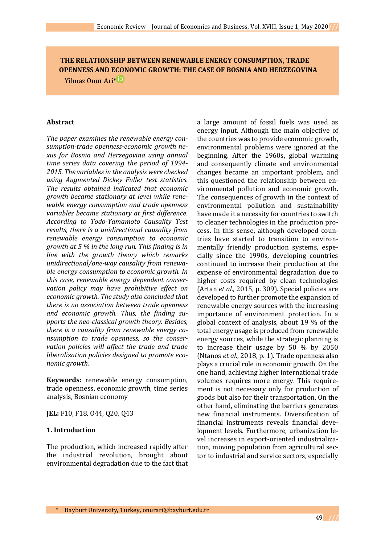**THE RELATIONSHIP BETWEEN RENEWABLE ENERGY CONSUMPTION, TRADE OPENNESS AND ECONOMIC GROWTH: THE CASE OF BOSNIA AND HERZEGOVINA** Yilmaz Onur Ari[\\*](https://orcid.org/0000-0001-7634-2531)

#### **Abstract**

*The paper examines the renewable energy consumption-trade openness-economic growth nexus for Bosnia and Herzegovina using annual time series data covering the period of 1994- 2015. The variables in the analysis were checked using Augmented Dickey Fuller test statistics. The results obtained indicated that economic growth became stationary at level while renewable energy consumption and trade openness variables became stationary at first difference*. *According to Todo-Yamamoto Causality Test results, there is a unidirectional causality from renewable energy consumption to economic growth at 5 % in the long run. This finding is in line with the growth theory which remarks unidirectional/one-way causality from renewable energy consumption to economic growth. In this case, renewable energy dependent conservation policy may have prohibitive effect on economic growth. The study also concluded that there is no association between trade openness and economic growth. Thus, the finding supports the neo-classical growth theory. Besides, there is a causality from renewable energy consumption to trade openness, so the conservation policies will affect the trade and trade liberalization policies designed to promote economic growth.*

**Keywords:** renewable energy consumption, trade openness, economic growth, time series analysis, Bosnian economy

**JEL:** F10, F18, O44, Q20, Q43

### **1. Introduction**

The production, which increased rapidly after the industrial revolution, brought about environmental degradation due to the fact that a large amount of fossil fuels was used as energy input. Although the main objective of the countries was to provide economic growth, environmental problems were ignored at the beginning. After the 1960s, global warming and consequently climate and environmental changes became an important problem, and this questioned the relationship between environmental pollution and economic growth. The consequences of growth in the context of environmental pollution and sustainability have made it a necessity for countries to switch to cleaner technologies in the production process. In this sense, although developed countries have started to transition to environmentally friendly production systems, especially since the 1990s, developing countries continued to increase their production at the expense of environmental degradation due to higher costs required by clean technologies (Artan *et al*., 2015, p. 309). Special policies are developed to further promote the expansion of renewable energy sources with the increasing importance of environment protection. In a global context of analysis, about 19 % of the total energy usage is produced from renewable energy sources, while the strategic planning is to increase their usage by 50 % by 2050 (Ntanos *et al*., 2018, p. 1). Trade openness also plays a crucial role in economic growth. On the one hand, achieving higher international trade volumes requires more energy. This requirement is not necessary only for production of goods but also for their transportation. On the other hand, eliminating the barriers generates new financial instruments. Diversification of financial instruments reveals financial development levels. Furthermore, urbanization level increases in export-oriented industrialization, moving population from agricultural sector to industrial and service sectors, especially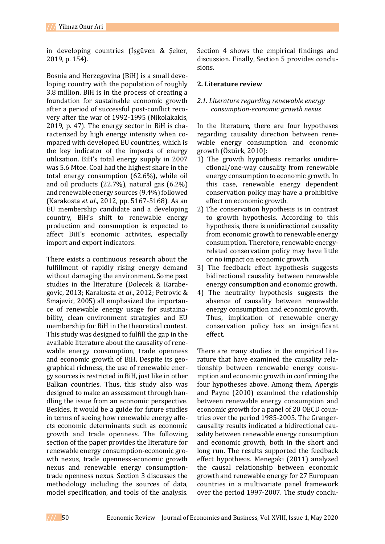in developing countries (İşgüven & Şeker, 2019, p. 154).

Bosnia and Herzegovina (BiH) is a small developing country with the population of roughly 3.8 million. BiH is in the process of creating a foundation for sustainable economic growth after a period of successful post-conflict recovery after the war of 1992-1995 (Nikolakakis, 2019, p. 47). The energy sector in BiH is characterized by high energy intensity when compared with developed EU countries, which is the key indicator of the impacts of energy utilization. BiH's total energy supply in 2007 was 5.6 Mtoe. Coal had the highest share in the total energy consumption (62.6%), while oil and oil products (22.7%), natural gas (6.2%) and renewable energy sources (9.4%) followed (Karakosta *et al*., 2012, pp. 5167-5168). As an EU membership candidate and a developing country, BiH's shift to renewable energy production and consumption is expected to affect BiH's economic activites, especially import and export indicators.

There exists a continuous research about the fulfillment of rapidly rising energy demand without damaging the environment. Some past studies in the literature (Dolecek & Karabegovic, 2013; Karakosta *et al*., 2012; Petrovic & Smajevic, 2005) all emphasized the importance of renewable energy usage for sustainability, clean environment strategies and EU membership for BiH in the theoretical context. This study was designed to fulfill the gap in the available literature about the causality of renewable energy consumption, trade openness and economic growth of BiH. Despite its geographical richness, the use of renewable energy sources is restricted in BiH, just like in other Balkan countries. Thus, this study also was designed to make an assessment through handling the issue from an economic perspective. Besides, it would be a guide for future studies in terms of seeing how renewable energy affects economic determinants such as economic growth and trade openness. The following section of the paper provides the literature for renewable energy consumption-economic growth nexus, trade openness-economic growth nexus and renewable energy consumptiontrade openness nexus. Section 3 discusses the methodology including the sources of data, model specification, and tools of the analysis.

Section 4 shows the empirical findings and discussion. Finally, Section 5 provides conclusions.

## **2. Literature review**

## *2.1. Literature regarding renewable energy consumption-economic growth nexus*

In the literature, there are four hypotheses regarding causality direction between renewable energy consumption and economic growth (Öztürk, 2010):

- 1) The growth hypothesis remarks unidirectional/one-way causality from renewable energy consumption to economic growth. In this case, renewable energy dependent conservation policy may have a prohibitive effect on economic growth.
- 2) The conservation hypothesis is in contrast to growth hypothesis. According to this hypothesis, there is unidirectional causality from economic growth to renewable energy consumption. Therefore, renewable energyrelated conservation policy may have little or no impact on economic growth.
- 3) The feedback effect hypothesis suggests bidirectional causality between renewable energy consumption and economic growth.
- 4) The neutrality hypothesis suggests the absence of causality between renewable energy consumption and economic growth. Thus, implication of renewable energy conservation policy has an insignificant effect.

There are many studies in the empirical literature that have examined the causality relationship between renewable energy consumption and economic growth in confirming the four hypotheses above. Among them, Apergis and Payne (2010) examined the relationship between renewable energy consumption and economic growth for a panel of 20 OECD countries over the period 1985-2005. The Grangercausality results indicated a bidirectional causality between renewable energy consumption and economic growth, both in the short and long run. The results supported the feedback effect hypothesis. Menegaki (2011) analyzed the causal relationship between economic growth and renewable energy for 27 European countries in a multivariate panel framework over the period 1997-2007. The study conclu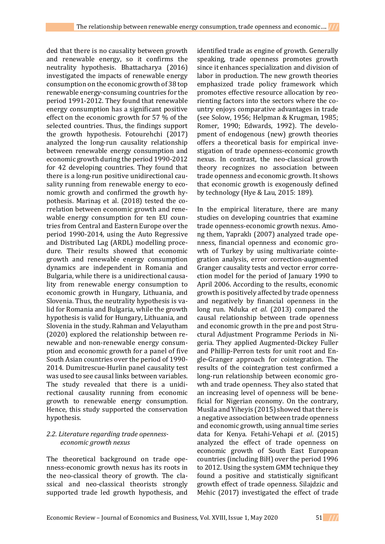ded that there is no causality between growth and renewable energy, so it confirms the neutrality hypothesis. Bhattacharya (2016) investigated the impacts of renewable energy consumption on the economic growth of 38 top renewable energy-consuming countries for the period 1991-2012. They found that renewable energy consumption has a significant positive effect on the economic growth for 57 % of the selected countries. Thus, the findings support the growth hypothesis. Fotourehchi (2017) analyzed the long-run causality relationship between renewable energy consumption and economic growth during the period 1990-2012 for 42 developing countries. They found that there is a long-run positive unidirectional causality running from renewable energy to economic growth and confirmed the growth hypothesis. Marinaş et al. (2018) tested the correlation between economic growth and renewable energy consumption for ten EU countries from Central and Eastern Europe over the period 1990-2014, using the Auto Regressive and Distributed Lag (ARDL) modelling procedure. Their results showed that economic growth and renewable energy consumption dynamics are independent in Romania and Bulgaria, while there is a unidirectional causality from renewable energy consumption to economic growth in Hungary, Lithuania, and Slovenia. Thus, the neutrality hypothesis is valid for Romania and Bulgaria, while the growth hypothesis is valid for Hungary, Lithuania, and Slovenia in the study. Rahman and Velayutham (2020) explored the relationship between renewable and non-renewable energy consumption and economic growth for a panel of five South Asian countries over the period of 1990- 2014. Dumitrescue-Hurlin panel causality test was used to see causal links between variables. The study revealed that there is a unidirectional causality running from economic growth to renewable energy consumption. Hence, this study supported the conservation hypothesis.

## *2.2. Literature regarding trade opennesseconomic growth nexus*

The theoretical background on trade openness-economic growth nexus has its roots in the neo-classical theory of growth. The classical and neo-classical theorists strongly supported trade led growth hypothesis, and

identified trade as engine of growth. Generally speaking, trade openness promotes growth since it enhances specialization and division of labor in production. The new growth theories emphasized trade policy framework which promotes effective resource allocation by reorienting factors into the sectors where the country enjoys comparative advantages in trade (see Solow, 1956; Helpman & Krugman, 1985; Romer, 1990; Edwards, 1992). The development of endogenous (new) growth theories offers a theoretical basis for empirical investigation of trade openness-economic growth nexus. In contrast, the neo-classical growth theory recognizes no association between trade openness and economic growth. It shows that economic growth is exogenously defined by technology (Hye & Lau, 2015: 189).

In the empirical literature, there are many studies on developing countries that examine trade openness-economic growth nexus. Among them, Yapraklı (2007) analyzed trade openness, financial openness and economic growth of Turkey by using multivariate cointegration analysis, error correction-augmented Granger causality tests and vector error correction model for the period of January 1990 to April 2006. According to the results, economic growth is positively affected by trade openness and negatively by financial openness in the long run. Nduka *et al*. (2013) compared the causal relationship between trade openness and economic growth in the pre and post Structural Adjustment Programme Periods in Nigeria. They applied Augmented-Dickey Fuller and Phillip-Perron tests for unit root and Engle-Granger approach for cointegration. The results of the cointegration test confirmed a long-run relationship between economic growth and trade openness. They also stated that an increasing level of openness will be beneficial for Nigerian economy. On the contrary, Musila and Yiheyis (2015) showed that there is a negative association between trade openness and economic growth, using annual time series data for Kenya. Fetahi-Vehapi *et al*. (2015) analyzed the effect of trade openness on economic growth of South East European countries (including BiH) over the period 1996 to 2012. Using the system GMM technique they found a positive and statistically significant growth effect of trade openness. Silajdzic and Mehic (2017) investigated the effect of trade

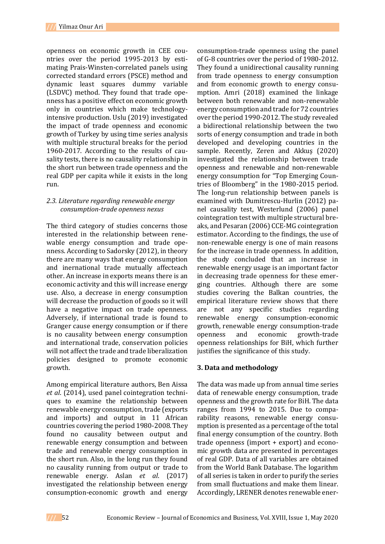openness on economic growth in CEE countries over the period 1995-2013 by estimating Prais-Winsten-correlated panels using corrected standard errors (PSCE) method and dynamic least squares dummy variable (LSDVC) method. They found that trade openness has a positive effect on economic growth only in countries which make technologyintensive production. Uslu (2019) investigated the impact of trade openness and economic growth of Turkey by using time series analysis with multiple structural breaks for the period 1960-2017. According to the results of causality tests, there is no causality relationship in the short run between trade openness and the real GDP per capita while it exists in the long run.

# *2.3. Literature regarding renewable energy consumption-trade openness nexus*

The third category of studies concerns those interested in the relationship between renewable energy consumption and trade openness. According to Sadorsky (2012), in theory there are many ways that energy consumption and inernational trade mutually affecteach other. An increase in exports means there is an economic activity and this will increase energy use. Also, a decrease in energy consumption will decrease the production of goods so it will have a negative impact on trade openness. Adversely, if international trade is found to Granger cause energy consumption or if there is no causality between energy consumption and international trade, conservation policies will not affect the trade and trade liberalization policies designed to promote economic growth.

Among empirical literature authors, Ben Aissa *et al*. (2014), used panel cointegration techniques to examine the relationship between renewable energy consumption, trade (exports and imports) and output in 11 African countries covering the period 1980-2008. They found no causality between output and renewable energy consumption and between trade and renewable energy consumption in the short run. Also, in the long run they found no causality running from output or trade to renewable energy. Aslan *et al*. (2017) investigated the relationship between energy consumption-economic growth and energy

consumption-trade openness using the panel of G-8 countries over the period of 1980-2012. They found a unidirectional causality running from trade openness to energy consumption and from economic growth to energy consumption. Amri (2018) examined the linkage between both renewable and non-renewable energy consumption and trade for 72 countries over the period 1990-2012. The study revealed a bidirectional relationship between the two sorts of energy consumption and trade in both developed and developing countries in the sample. Recently, Zeren and Akkuş (2020) investigated the relationship between trade openness and renewable and non-renewable energy consumption for "Top Emerging Countries of Bloomberg" in the 1980-2015 period. The long-run relationship between panels is examined with Dumitrescu-Hurlin (2012) panel causality test, Westerlund (2006) panel cointegration test with multiple structural breaks, and Pesaran (2006) CCE-MG cointegration estimator. According to the findings, the use of non-renewable energy is one of main reasons for the increase in trade openness. In addition, the study concluded that an increase in renewable energy usage is an important factor in decreasing trade openness for these emerging countries. Although there are some studies covering the Balkan countries, the empirical literature review shows that there are not any specific studies regarding renewable energy consumption-economic growth, renewable energy consumption-trade openness and economic growth-trade openness relationships for BiH, which further justifies the significance of this study.

# **3. Data and methodology**

The data was made up from annual time series data of renewable energy consumption, trade openness and the growth rate for BiH. The data ranges from 1994 to 2015. Due to comparability reasons, renewable energy consumption is presented as a percentage of the total final energy consumption of the country. Both trade openness (import + export) and economic growth data are presented in percentages of real GDP. Data of all variables are obtained from the World Bank Database. The logarithm of all series is taken in order to purify the series from small fluctuations and make them linear. Accordingly, LRENER denotes renewable ener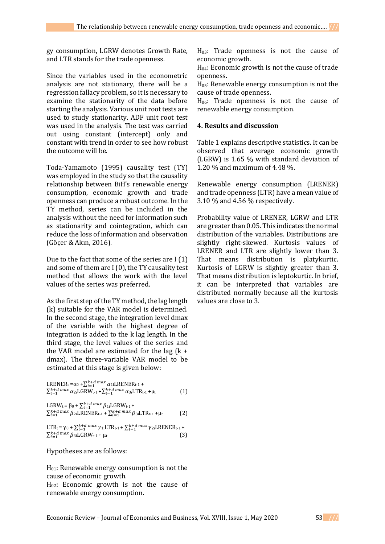gy consumption, LGRW denotes Growth Rate, and LTR stands for the trade openness.

Since the variables used in the econometric analysis are not stationary, there will be a regression fallacy problem, so it is necessary to examine the stationarity of the data before starting the analysis. Various unit root tests are used to study stationarity. ADF unit root test was used in the analysis. The test was carried out using constant (intercept) only and constant with trend in order to see how robust the outcome will be.

Toda-Yamamoto (1995) causality test (TY) was employed in the study so that the causality relationship between BiH's renewable energy consumption, economic growth and trade openness can produce a robust outcome. In the TY method, series can be included in the analysis without the need for information such as stationarity and cointegration, which can reduce the loss of information and observation (Göçer & Akın, 2016).

Due to the fact that some of the series are I (1) and some of them are I (0), the TY causality test method that allows the work with the level values of the series was preferred.

As the first step of the TY method, the lag length (k) suitable for the VAR model is determined. In the second stage, the integration level dmax of the variable with the highest degree of integration is added to the k lag length. In the third stage, the level values of the series and the VAR model are estimated for the lag  $(k +$ dmax). The three-variable VAR model to be estimated at this stage is given below:

LRENER<sub>t</sub> =
$$
\alpha_0 + \sum_{i=1}^{k+d} \max_{\alpha_{1i}} \alpha_{1i}
$$
LRENER<sub>t-1</sub> +  
 $\sum_{i=1}^{k+d} \max_{\alpha_{2i}} \alpha_{2i}$ LGRW<sub>t-1</sub> + $\sum_{i=1}^{k+d} \max_{\alpha_{3i}} \alpha_{3i}$ LTR<sub>t-1</sub> + $\mu$  (1)

$$
LGRW_{t} = \beta_{0} + \sum_{i=1}^{k+d} \max \beta_{1i} LGRW_{t-1} +
$$
  
 
$$
\sum_{i=1}^{k+d} \max \beta_{2i} LRENER_{t-1} + \sum_{i=1}^{k+d} \max \beta_{3i} LTR_{t-1} + \mu_{t}
$$
 (2)

LTR<sub>t</sub> =  $\gamma_0$  +  $\sum_{i=1}^{k+d} \max \gamma_{1i}$ LTR<sub>t-1</sub> +  $\sum_{i=1}^{k+d} \max \gamma_{2i}$ LRENER<sub>t-1</sub> +  $\sum_{i=1}^{k+d} \max \beta_{3i} LGRW_{t-1} + \mu_{t}$  (3)

Hypotheses are as follows:

H01: Renewable energy consumption is not the cause of economic growth.

H02: Economic growth is not the cause of renewable energy consumption.

 $H<sub>03</sub>$ : Trade openness is not the cause of economic growth.

H04: Economic growth is not the cause of trade openness.

H05: Renewable energy consumption is not the cause of trade openness.

 $H_{06}$ : Trade openness is not the cause of renewable energy consumption.

## **4. Results and discussion**

Table 1 explains descriptive statistics. It can be observed that average economic growth (LGRW) is 1.65 % with standard deviation of 1.20 % and maximum of 4.48 %.

Renewable energy consumption (LRENER) and trade openness (LTR) have a mean value of 3.10 % and 4.56 % respectively.

Probability value of LRENER, LGRW and LTR are greater than 0.05. This indicates the normal distribution of the variables. Distributions are slightly right-skewed. Kurtosis values of LRENER and LTR are slightly lower than 3. That means distribution is platykurtic. Kurtosis of LGRW is slightly greater than 3. That means distribution is leptokurtic. In brief, it can be interpreted that variables are distributed normally because all the kurtosis values are close to 3.

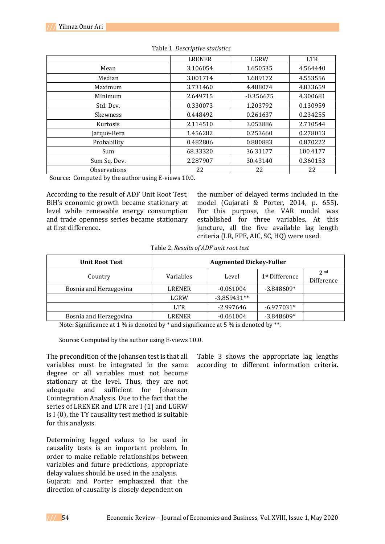|                 | <b>LRENER</b> | LGRW        | <b>LTR</b> |
|-----------------|---------------|-------------|------------|
| Mean            | 3.106054      | 1.650535    | 4.564440   |
| Median          | 3.001714      | 1.689172    | 4.553556   |
| Maximum         | 3.731460      | 4.488074    | 4.833659   |
| Minimum         | 2.649715      | $-0.356675$ | 4.300681   |
| Std. Dev.       | 0.330073      | 1.203792    | 0.130959   |
| <b>Skewness</b> | 0.448492      | 0.261637    | 0.234255   |
| Kurtosis        | 2.114510      | 3.053886    | 2.710544   |
| Jarque-Bera     | 1.456282      | 0.253660    | 0.278013   |
| Probability     | 0.482806      | 0.880883    | 0.870222   |
| Sum             | 68.33320      | 36.31177    | 100.4177   |
| Sum Sq. Dev.    | 2.287907      | 30.43140    | 0.360153   |
| Observations    | 22            | 22          | 22         |

Table 1. *Descriptive statistics*

Source: Computed by the author using E-views 10.0.

According to the result of ADF Unit Root Test, BiH's economic growth became stationary at level while renewable energy consumption and trade openness series became stationary at first difference.

the number of delayed terms included in the model (Gujarati & Porter, 2014, p. 655). For this purpose, the VAR model was established for three variables. At this juncture, all the five available lag length criteria (LR, FPE, AIC, SC, HQ) were used.

|  | Table 2. Results of ADF unit root test |  |  |
|--|----------------------------------------|--|--|
|  |                                        |  |  |

| <b>Unit Root Test</b>  | <b>Augmented Dickey-Fuller</b> |               |                            |                               |
|------------------------|--------------------------------|---------------|----------------------------|-------------------------------|
| Country                | Variables                      | Level         | 1 <sup>st</sup> Difference | 2 <sub>nd</sub><br>Difference |
| Bosnia and Herzegovina | LRENER                         | $-0.061004$   | $-3.848609*$               |                               |
|                        | LGRW                           | $-3.859431**$ |                            |                               |
|                        | <b>LTR</b>                     | $-2.997646$   | $-6.977031*$               |                               |
| Bosnia and Herzegovina | <b>LRENER</b>                  | $-0.061004$   | $-3.848609*$               |                               |

Note: Significance at 1 % is denoted by  $*$  and significance at 5 % is denoted by  $**$ .

Source: Computed by the author using E-views 10.0.

The precondition of the Johansen test is that all variables must be integrated in the same degree or all variables must not become stationary at the level. Thus, they are not adequate and sufficient for Johansen Cointegration Analysis. Due to the fact that the series of LRENER and LTR are I (1) and LGRW is I (0), the TY causality test method is suitable for this analysis.

Determining lagged values to be used in causality tests is an important problem. In order to make reliable relationships between variables and future predictions, appropriate delay values should be used in the analysis. Gujarati and Porter emphasized that the direction of causality is closely dependent on

Table 3 shows the appropriate lag lengths according to different information criteria.

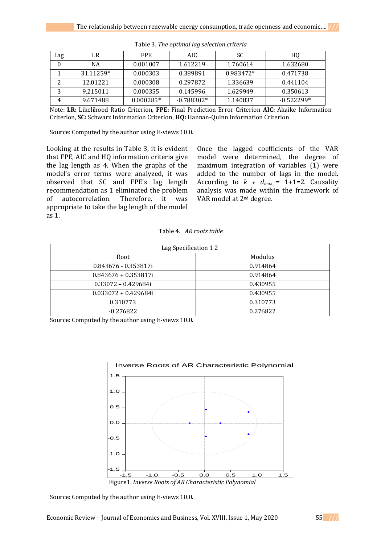| Lag      | LR        | FPE.        | AIC.         | SC        | HQ           |
|----------|-----------|-------------|--------------|-----------|--------------|
| $\theta$ | NA        | 0.001007    | 1.612219     | 1.760614  | 1.632680     |
|          | 31.11259* | 0.000303    | 0.389891     | 0.983472* | 0.471738     |
|          | 12.01221  | 0.000308    | 0.297872     | 1.336639  | 0.441104     |
| Э        | 9.215011  | 0.000355    | 0.145996     | 1.629949  | 0.350613     |
| 4        | 9.671488  | $0.000285*$ | $-0.788302*$ | 1.140837  | $-0.522299*$ |

Table 3. *The optimal lag selection criteria*

Note: **LR:** Likelihood Ratio Criterion, **FPE:** Final Prediction Error Criterion **AIC:** Akaike Information Criterion, **SC:** Schwarz Information Criterion, **HQ:** Hannan-Quinn Information Criterion

Source: Computed by the author using E-views 10.0.

Looking at the results in Table 3, it is evident that FPE, AIC and HQ information criteria give the lag length as 4. When the graphs of the model's error terms were analyzed, it was observed that SC and FPE's lag length recommendation as 1 eliminated the problem of autocorrelation. Therefore, it was appropriate to take the lag length of the model as 1.

Once the lagged coefficients of the VAR model were determined, the degree of maximum integration of variables (1) were added to the number of lags in the model. According to  $k + d_{max} = 1+1=2$ . Causality analysis was made within the framework of VAR model at 2nd degree.

Table 4. *AR roots table*

| Lag Specification 12   |          |  |  |  |
|------------------------|----------|--|--|--|
| Root                   | Modulus  |  |  |  |
| $0.843676 - 0.353817i$ | 0.914864 |  |  |  |
| $0.843676 + 0.353817i$ | 0.914864 |  |  |  |
| $0.33072 - 0.429684i$  | 0.430955 |  |  |  |
| $0.033072 + 0.429684i$ | 0.430955 |  |  |  |
| 0.310773               | 0.310773 |  |  |  |
| $-0.276822$            | 0.276822 |  |  |  |

Source: Computed by the author using E-views 10.0.



Source: Computed by the author using E-views 10.0.

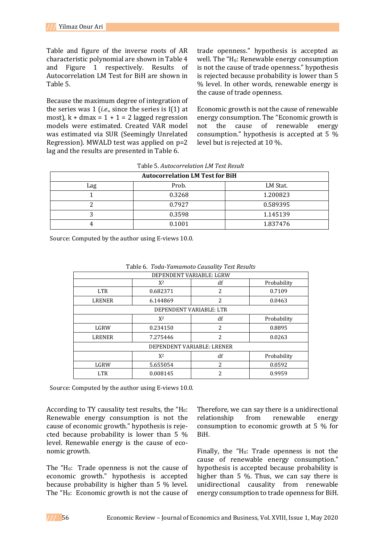Table and figure of the inverse roots of AR characteristic polynomial are shown in Table 4 and Figure 1 respectively. Results of Autocorrelation LM Test for BiH are shown in Table 5.

Because the maximum degree of integration of the series was 1 (*i.e*., since the series is I(1) at most),  $k + d$ max = 1 + 1 = 2 lagged regression models were estimated. Created VAR model was estimated via SUR (Seemingly Unrelated Regression). MWALD test was applied on p=2 lag and the results are presented in Table 6.

trade openness." hypothesis is accepted as well. The " $H_0$ : Renewable energy consumption is not the cause of trade openness." hypothesis is rejected because probability is lower than 5 % level. In other words, renewable energy is the cause of trade openness.

Economic growth is not the cause of renewable energy consumption. The "Economic growth is not the cause of renewable energy consumption." hypothesis is accepted at 5 % level but is rejected at 10 %.

| <b>Autocorrelation LM Test for BiH</b> |        |          |  |  |
|----------------------------------------|--------|----------|--|--|
| Lag                                    | Prob.  | LM Stat. |  |  |
|                                        | 0.3268 | 1.200823 |  |  |
|                                        | 0.7927 | 0.589395 |  |  |
|                                        | 0.3598 | 1.145139 |  |  |
|                                        | 0.1001 | 1.837476 |  |  |

Table 5. *Autocorrelation LM Test Result*

Source: Computed by the author using E-views 10.0.

| Table of Toda Tamamolo Causancy Test Results |          |                         |             |  |  |
|----------------------------------------------|----------|-------------------------|-------------|--|--|
| DEPENDENT VARIABLE: LGRW                     |          |                         |             |  |  |
|                                              | $X^2$    | df                      | Probability |  |  |
| LTR.                                         | 0.682371 | 2                       | 0.7109      |  |  |
| <b>LRENER</b>                                | 6.144869 | $\overline{2}$          | 0.0463      |  |  |
|                                              |          | DEPENDENT VARIABLE: LTR |             |  |  |
|                                              | $X^2$    | df                      | Probability |  |  |
| LGRW                                         | 0.234150 | 2                       | 0.8895      |  |  |
| <b>LRENER</b>                                | 7.275446 | 2                       | 0.0263      |  |  |
| DEPENDENT VARIABLE: LRENER                   |          |                         |             |  |  |
|                                              | $X^2$    | df                      | Probability |  |  |
| LGRW                                         | 5.655054 | 2                       | 0.0592      |  |  |
| <b>LTR</b>                                   | 0.008145 | 2                       | 0.9959      |  |  |

Table 6. *Toda-Yamamoto Causality Test Results*

Source: Computed by the author using E-views 10.0.

According to TY causality test results, the " $H_0$ : Renewable energy consumption is not the cause of economic growth." hypothesis is rejected because probability is lower than 5 % level. Renewable energy is the cause of economic growth.

The  $H_0$ : Trade openness is not the cause of economic growth." hypothesis is accepted because probability is higher than 5 % level. The " $H_0$ : Economic growth is not the cause of Therefore, we can say there is a unidirectional relationship from renewable energy consumption to economic growth at 5 % for BiH.

Finally, the " $H_0$ : Trade openness is not the cause of renewable energy consumption." hypothesis is accepted because probability is higher than 5 %. Thus, we can say there is unidirectional causality from renewable energy consumption to trade openness for BiH.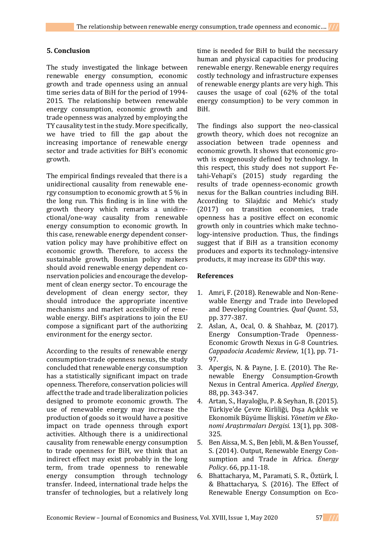### **5. Conclusion**

The study investigated the linkage between renewable energy consumption, economic growth and trade openness using an annual time series data of BiH for the period of 1994- 2015. The relationship between renewable energy consumption, economic growth and trade openness was analyzed by employing the TY causality test in the study. More specifically, we have tried to fill the gap about the increasing importance of renewable energy sector and trade activities for BiH's economic growth.

The empirical findings revealed that there is a unidirectional causality from renewable energy consumption to economic growth at 5 % in the long run. This finding is in line with the growth theory which remarks a unidirectional/one-way causality from renewable energy consumption to economic growth. In this case, renewable energy dependent conservation policy may have prohibitive effect on economic growth. Therefore, to access the sustainable growth, Bosnian policy makers should avoid renewable energy dependent conservation policies and encourage the development of clean energy sector. To encourage the development of clean energy sector, they should introduce the appropriate incentive mechanisms and market accesibility of renewable energy. BiH's aspirations to join the EU compose a significant part of the authorizing environment for the energy sector.

According to the results of renewable energy consumption-trade openness nexus, the study concluded that renewable energy consumption has a statistically significant impact on trade openness. Therefore, conservation policies will affect the trade and trade liberalization policies designed to promote economic growth. The use of renewable energy may increase the production of goods so it would have a positive impact on trade openness through export activities. Although there is a unidirectional causality from renewable energy consumption to trade openness for BiH, we think that an indirect effect may exist probably in the long term, from trade openness to renewable energy consumption through technology transfer. Indeed, international trade helps the transfer of technologies, but a relatively long

time is needed for BiH to build the necessary human and physical capacities for producing renewable energy. Renewable energy requires costly technology and infrastructure expenses of renewable energy plants are very high. This causes the usage of coal (62% of the total energy consumption) to be very common in BiH.

The findings also support the neo-classical growth theory, which does not recognize an association between trade openness and economic growth. It shows that economic growth is exogenously defined by technology. In this respect, this study does not support Fetahi-Vehapi's (2015) study regarding the results of trade openness-economic growth nexus for the Balkan countries including BiH. According to Silajdzic and Mehic's study (2017) on transition economies, trade openness has a positive effect on economic growth only in countries which make technology-intensive production. Thus, the findings suggest that if BiH as a transition economy produces and exports its technology-intensive products, it may increase its GDP this way.

#### **References**

- 1. Amri, F. (2018). Renewable and Non-Renewable Energy and Trade into Developed and Developing Countries. *Qual Quant*. 53, pp. 377-387.
- 2. Aslan, A., Ocal, O. & Shahbaz, M. (2017). Energy Consumption-Trade Openness-Economic Growth Nexus in G-8 Countries. *Cappadocia Academic Review*, 1(1), pp. 71- 97.
- 3. Apergis, N. & Payne, J. E. (2010). The Renewable Energy Consumption-Growth Nexus in Central America. *Applied Energy*, 88, pp. 343-347.
- 4. Artan, S., Hayaloğlu, P. & Seyhan, B. (2015). Türkiye'de Çevre Kirliliği, Dışa Açıklık ve Ekonomik Büyüme İlişkisi. *Yönetim ve Ekonomi Araştırmaları Dergisi*. 13(1), pp. 308- 325.
- 5. Ben Aissa, M. S., Ben Jebli, M. & Ben Youssef, S. (2014). Output, Renewable Energy Consumption and Trade in Africa. *Energy Policy*. 66, pp.11-18.
- 6. Bhattacharya, M., Paramati, S. R., Öztürk, İ. & Bhattacharya, S. (2016). The Effect of Renewable Energy Consumption on Eco-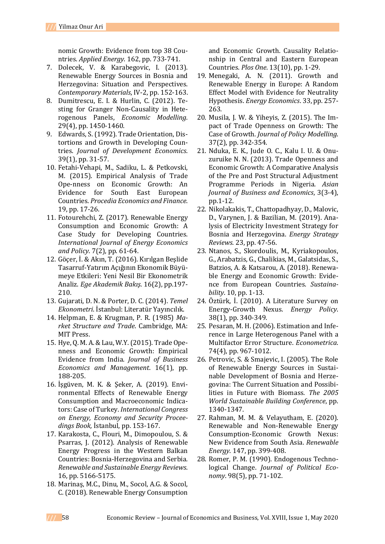nomic Growth: Evidence from top 38 Countries. *Applied Energy*. 162, pp. 733-741.

- 7. Dolecek, V. & Karabegovic, I. (2013). Renewable Energy Sources in Bosnia and Herzegovina: Situation and Perspectives. *Contemporary Materials*, IV-2, pp. 152-163.
- 8. Dumitrescu, E. I. & Hurlin, C. (2012). Testing for Granger Non-Causality in Heterogenous Panels, *Economic Modelling*. 29(4), pp. 1450-1460.
- 9. Edwards, S. (1992). Trade Orientation, Distortions and Growth in Developing Countries. *Journal of Development Economics*. 39(1), pp. 31-57.
- 10. Fetahi-Vehapi, M., Sadiku, L. & Petkovski, M. (2015). Empirical Analysis of Trade Ope-nness on Economic Growth: An Evidence for South East European Countries. *Procedia Economics and Finance*. 19, pp. 17-26.
- 11. Fotourehchi, Z. (2017). Renewable Energy Consumption and Economic Growth: A Case Study for Developing Countries. *International Journal of Energy Economics and Policy*. 7(2), pp. 61-64.
- 12. Göçer, İ. & Akın, T. (2016). Kırılgan Beşlide Tasarruf-Yatırım Açığının Ekonomik Büyümeye Etkileri: Yeni Nesil Bir Ekonometrik Analiz. *Ege Akademik Bakış*. 16(2), pp.197- 210.
- 13. Gujarati, D. N. & Porter, D. C. (2014). *Temel Ekonometri*. İstanbul: Literatür Yayıncılık.
- 14. Helpman, E. & Krugman, P. R. (1985) *Market Structure and Trade*. Cambridge, MA: MIT Press.
- 15. Hye, Q. M. A. & Lau, W.Y. (2015). Trade Openness and Economic Growth: Empirical Evidence from India. *Journal of Business Economics and Management*. 16(1), pp. 188-205.
- 16. İşgüven, M. K. & Şeker, A. (2019). Environmental Effects of Renewable Energy Consumption and Macroeconomic Indicators: Case of Turkey. *International Congress on Energy, Economy and Security Proceedings Book,* İstanbul, pp. 153-167.
- 17. Karakosta, C., Flouri, M., Dimopoulou, S. & Psarras, J. (2012). Analysis of Renewable Energy Progress in the Western Balkan Countries: Bosnia-Herzegovina and Serbia. *Renewable and Sustainable Energy Reviews*. 16, pp. 5166-5175.
- 18. Marinaş, M.C., Dinu, M., Socol, A.G. & Socol, C. (2018). Renewable Energy Consumption

and Economic Growth. Causality Relationship in Central and Eastern European Countries. *Plos One*. 13(10), pp. 1-29.

- 19. Menegaki, A. N. (2011). Growth and Renewable Energy in Europe: A Random Effect Model with Evidence for Neutrality Hypothesis. *Energy Economics*. 33, pp. 257- 263.
- 20. Musila, J. W. & Yiheyis, Z. (2015). The Impact of Trade Openness on Growth: The Case of Growth. *Journal of Policy Modelling*. 37(2), pp. 342-354.
- 21. Nduka, E. K., Jude O. C., Kalu I. U. & Onuzuruike N. N. (2013). Trade Openness and Economic Growth: A Comparative Analysis of the Pre and Post Structural Adjustment Programme Periods in Nigeria. *Asian Journal of Business and Economics*, 3(3-4), pp.1-12.
- 22. Nikolakakis, T., Chattopadhyay, D., Malovic, D., Varynen, J. & Bazilian, M. (2019). Analysis of Electricity Investment Strategy for Bosnia and Herzegovina. *Energy Strategy Reviews*. 23, pp. 47-56.
- 23. Ntanos, S., Skordoulis, M., Kyriakopoulos, G., Arabatzis, G., Chalikias, M., Galatsidas, S., Batzios, A. & Katsarou, A. (2018). Renewable Energy and Economic Growth: Evidence from European Countries. *Sustainability*. 10, pp. 1-13.
- 24. Öztürk, İ. (2010). A Literature Survey on Energy-Growth Nexus. *Energy Policy*. 38(1), pp. 340-349.
- 25. Pesaran, M. H. (2006). Estimation and Inference in Large Heterogenous Panel with a Multifactor Error Structure. *Econometrica*. 74(4), pp. 967-1012.
- 26. Petrovic, S. & Smajevic, I. (2005). The Role of Renewable Energy Sources in Sustainable Development of Bosnia and Herzegovina: The Current Situation and Possibilities in Future with Biomass. *The 2005 World Sustainable Building Conference*, pp. 1340-1347.
- 27. Rahman, M. M. & Velayutham, E. (2020). Renewable and Non-Renewable Energy Consumption-Economic Growth Nexus: New Evidence from South Asia. *Renewable Energy*. 147, pp. 399-408.
- 28. Romer, P. M. (1990). Endogenous Technological Change. *Journal of Political Economy*. 98(5), pp. 71-102.